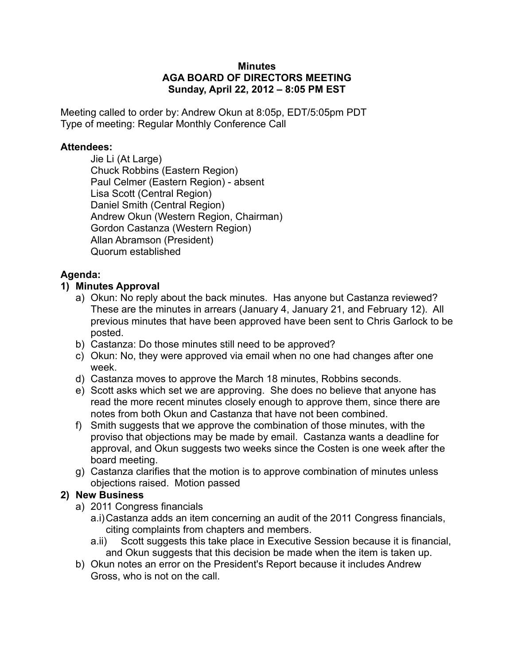#### **Minutes AGA BOARD OF DIRECTORS MEETING Sunday, April 22, 2012 – 8:05 PM EST**

Meeting called to order by: Andrew Okun at 8:05p, EDT/5:05pm PDT Type of meeting: Regular Monthly Conference Call

#### **Attendees:**

Jie Li (At Large) Chuck Robbins (Eastern Region) Paul Celmer (Eastern Region) - absent Lisa Scott (Central Region) Daniel Smith (Central Region) Andrew Okun (Western Region, Chairman) Gordon Castanza (Western Region) Allan Abramson (President) Quorum established

### **Agenda:**

### **1) Minutes Approval**

- a) Okun: No reply about the back minutes. Has anyone but Castanza reviewed? These are the minutes in arrears (January 4, January 21, and February 12). All previous minutes that have been approved have been sent to Chris Garlock to be posted.
- b) Castanza: Do those minutes still need to be approved?
- c) Okun: No, they were approved via email when no one had changes after one week.
- d) Castanza moves to approve the March 18 minutes, Robbins seconds.
- e) Scott asks which set we are approving. She does no believe that anyone has read the more recent minutes closely enough to approve them, since there are notes from both Okun and Castanza that have not been combined.
- f) Smith suggests that we approve the combination of those minutes, with the proviso that objections may be made by email. Castanza wants a deadline for approval, and Okun suggests two weeks since the Costen is one week after the board meeting.
- g) Castanza clarifies that the motion is to approve combination of minutes unless objections raised. Motion passed

### **2) New Business**

- a) 2011 Congress financials
	- a.i)Castanza adds an item concerning an audit of the 2011 Congress financials, citing complaints from chapters and members.
	- a.ii) Scott suggests this take place in Executive Session because it is financial, and Okun suggests that this decision be made when the item is taken up.
- b) Okun notes an error on the President's Report because it includes Andrew Gross, who is not on the call.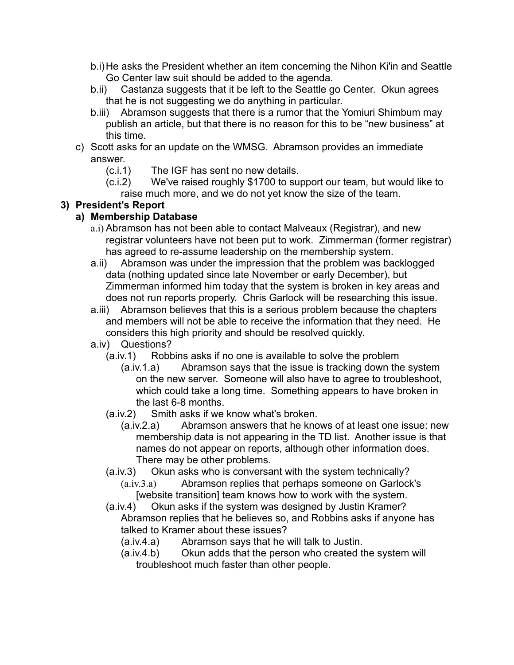- b.i)He asks the President whether an item concerning the Nihon Ki'in and Seattle Go Center law suit should be added to the agenda.
- b.ii) Castanza suggests that it be left to the Seattle go Center. Okun agrees that he is not suggesting we do anything in particular.
- b.iii) Abramson suggests that there is a rumor that the Yomiuri Shimbum may publish an article, but that there is no reason for this to be "new business" at this time.
- c) Scott asks for an update on the WMSG. Abramson provides an immediate answer.
	- (c.i.1) The IGF has sent no new details.
	- (c.i.2) We've raised roughly \$1700 to support our team, but would like to raise much more, and we do not yet know the size of the team.

# **3) President's Report**

# **a) Membership Database**

- a.i) Abramson has not been able to contact Malveaux (Registrar), and new registrar volunteers have not been put to work. Zimmerman (former registrar) has agreed to re-assume leadership on the membership system.
- a.ii) Abramson was under the impression that the problem was backlogged data (nothing updated since late November or early December), but Zimmerman informed him today that the system is broken in key areas and does not run reports properly. Chris Garlock will be researching this issue.
- a.iii) Abramson believes that this is a serious problem because the chapters and members will not be able to receive the information that they need. He considers this high priority and should be resolved quickly.
- a.iv) Questions?
	- (a.iv.1) Robbins asks if no one is available to solve the problem
		- (a.iv.1.a) Abramson says that the issue is tracking down the system on the new server. Someone will also have to agree to troubleshoot, which could take a long time. Something appears to have broken in the last 6-8 months.
	- (a.iv.2) Smith asks if we know what's broken.
		- (a.iv.2.a) Abramson answers that he knows of at least one issue: new membership data is not appearing in the TD list. Another issue is that names do not appear on reports, although other information does. There may be other problems.
	- (a.iv.3) Okun asks who is conversant with the system technically?
		- (a.iv.3.a) Abramson replies that perhaps someone on Garlock's [website transition] team knows how to work with the system.
	- (a.iv.4) Okun asks if the system was designed by Justin Kramer? Abramson replies that he believes so, and Robbins asks if anyone has talked to Kramer about these issues?
		- (a.iv.4.a) Abramson says that he will talk to Justin.
		- (a.iv.4.b) Okun adds that the person who created the system will troubleshoot much faster than other people.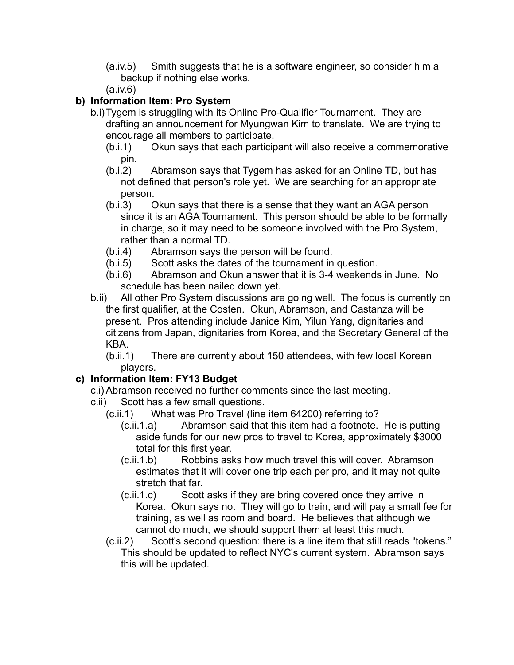- (a.iv.5) Smith suggests that he is a software engineer, so consider him a backup if nothing else works.
- (a.iv.6)

# **b) Information Item: Pro System**

- b.i)Tygem is struggling with its Online Pro-Qualifier Tournament. They are drafting an announcement for Myungwan Kim to translate. We are trying to encourage all members to participate.
	- (b.i.1) Okun says that each participant will also receive a commemorative pin.
	- (b.i.2) Abramson says that Tygem has asked for an Online TD, but has not defined that person's role yet. We are searching for an appropriate person.
	- (b.i.3) Okun says that there is a sense that they want an AGA person since it is an AGA Tournament. This person should be able to be formally in charge, so it may need to be someone involved with the Pro System, rather than a normal TD.
	- (b.i.4) Abramson says the person will be found.
	- (b.i.5) Scott asks the dates of the tournament in question.
	- (b.i.6) Abramson and Okun answer that it is 3-4 weekends in June. No schedule has been nailed down yet.
- b.ii) All other Pro System discussions are going well. The focus is currently on the first qualifier, at the Costen. Okun, Abramson, and Castanza will be present. Pros attending include Janice Kim, Yilun Yang, dignitaries and citizens from Japan, dignitaries from Korea, and the Secretary General of the KBA.

(b.ii.1) There are currently about 150 attendees, with few local Korean players.

# **c) Information Item: FY13 Budget**

c.i) Abramson received no further comments since the last meeting.

- c.ii) Scott has a few small questions.
	- (c.ii.1) What was Pro Travel (line item 64200) referring to?
		- (c.ii.1.a) Abramson said that this item had a footnote. He is putting aside funds for our new pros to travel to Korea, approximately \$3000 total for this first year.
		- (c.ii.1.b) Robbins asks how much travel this will cover. Abramson estimates that it will cover one trip each per pro, and it may not quite stretch that far.
		- (c.ii.1.c) Scott asks if they are bring covered once they arrive in Korea. Okun says no. They will go to train, and will pay a small fee for training, as well as room and board. He believes that although we cannot do much, we should support them at least this much.
	- (c.ii.2) Scott's second question: there is a line item that still reads "tokens." This should be updated to reflect NYC's current system. Abramson says this will be updated.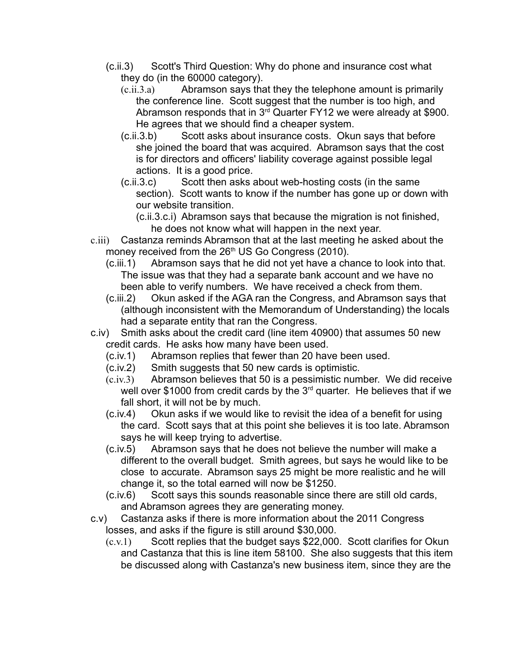- (c.ii.3) Scott's Third Question: Why do phone and insurance cost what they do (in the 60000 category).
	- (c.ii.3.a) Abramson says that they the telephone amount is primarily the conference line. Scott suggest that the number is too high, and Abramson responds that in  $3<sup>rd</sup>$  Quarter FY12 we were already at \$900. He agrees that we should find a cheaper system.
	- (c.ii.3.b) Scott asks about insurance costs. Okun says that before she joined the board that was acquired. Abramson says that the cost is for directors and officers' liability coverage against possible legal actions. It is a good price.
	- (c.ii.3.c) Scott then asks about web-hosting costs (in the same section). Scott wants to know if the number has gone up or down with our website transition.
		- (c.ii.3.c.i) Abramson says that because the migration is not finished, he does not know what will happen in the next year.
- c.iii) Castanza reminds Abramson that at the last meeting he asked about the money received from the  $26<sup>th</sup> US Go Congress (2010)$ .
	- (c.iii.1) Abramson says that he did not yet have a chance to look into that. The issue was that they had a separate bank account and we have no been able to verify numbers. We have received a check from them.
	- (c.iii.2) Okun asked if the AGA ran the Congress, and Abramson says that (although inconsistent with the Memorandum of Understanding) the locals had a separate entity that ran the Congress.
- c.iv) Smith asks about the credit card (line item 40900) that assumes 50 new credit cards. He asks how many have been used.
	- (c.iv.1) Abramson replies that fewer than 20 have been used.
	- (c.iv.2) Smith suggests that 50 new cards is optimistic.
	- (c.iv.3) Abramson believes that 50 is a pessimistic number. We did receive well over \$1000 from credit cards by the  $3<sup>rd</sup>$  quarter. He believes that if we fall short, it will not be by much.
	- (c.iv.4) Okun asks if we would like to revisit the idea of a benefit for using the card. Scott says that at this point she believes it is too late. Abramson says he will keep trying to advertise.
	- (c.iv.5) Abramson says that he does not believe the number will make a different to the overall budget. Smith agrees, but says he would like to be close to accurate. Abramson says 25 might be more realistic and he will change it, so the total earned will now be \$1250.
	- (c.iv.6) Scott says this sounds reasonable since there are still old cards, and Abramson agrees they are generating money.
- c.v) Castanza asks if there is more information about the 2011 Congress losses, and asks if the figure is still around \$30,000.
	- (c.v.1) Scott replies that the budget says \$22,000. Scott clarifies for Okun and Castanza that this is line item 58100. She also suggests that this item be discussed along with Castanza's new business item, since they are the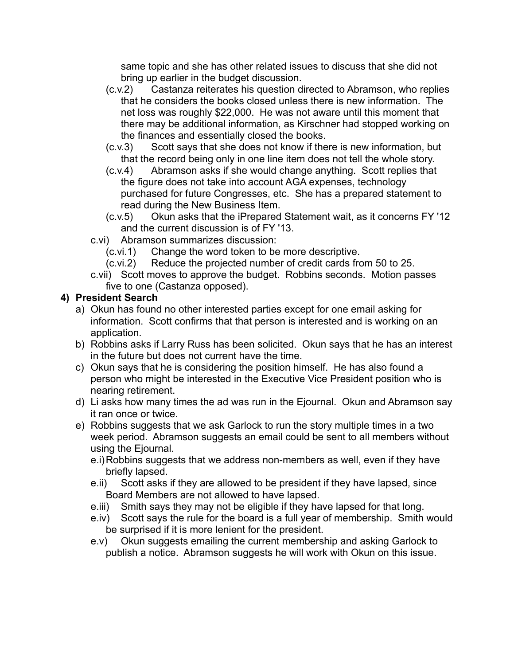same topic and she has other related issues to discuss that she did not bring up earlier in the budget discussion.

- (c.v.2) Castanza reiterates his question directed to Abramson, who replies that he considers the books closed unless there is new information. The net loss was roughly \$22,000. He was not aware until this moment that there may be additional information, as Kirschner had stopped working on the finances and essentially closed the books.
- (c.v.3) Scott says that she does not know if there is new information, but that the record being only in one line item does not tell the whole story.
- (c.v.4) Abramson asks if she would change anything. Scott replies that the figure does not take into account AGA expenses, technology purchased for future Congresses, etc. She has a prepared statement to read during the New Business Item.
- (c.v.5) Okun asks that the iPrepared Statement wait, as it concerns FY '12 and the current discussion is of FY '13.
- c.vi) Abramson summarizes discussion:
	- (c.vi.1) Change the word token to be more descriptive.
	- (c.vi.2) Reduce the projected number of credit cards from 50 to 25.
- c.vii) Scott moves to approve the budget. Robbins seconds. Motion passes five to one (Castanza opposed).

# **4) President Search**

- a) Okun has found no other interested parties except for one email asking for information. Scott confirms that that person is interested and is working on an application.
- b) Robbins asks if Larry Russ has been solicited. Okun says that he has an interest in the future but does not current have the time.
- c) Okun says that he is considering the position himself. He has also found a person who might be interested in the Executive Vice President position who is nearing retirement.
- d) Li asks how many times the ad was run in the Ejournal. Okun and Abramson say it ran once or twice.
- e) Robbins suggests that we ask Garlock to run the story multiple times in a two week period. Abramson suggests an email could be sent to all members without using the Ejournal.
	- e.i)Robbins suggests that we address non-members as well, even if they have briefly lapsed.
	- e.ii) Scott asks if they are allowed to be president if they have lapsed, since Board Members are not allowed to have lapsed.
	- e.iii) Smith says they may not be eligible if they have lapsed for that long.
	- e.iv) Scott says the rule for the board is a full year of membership. Smith would be surprised if it is more lenient for the president.
	- e.v) Okun suggests emailing the current membership and asking Garlock to publish a notice. Abramson suggests he will work with Okun on this issue.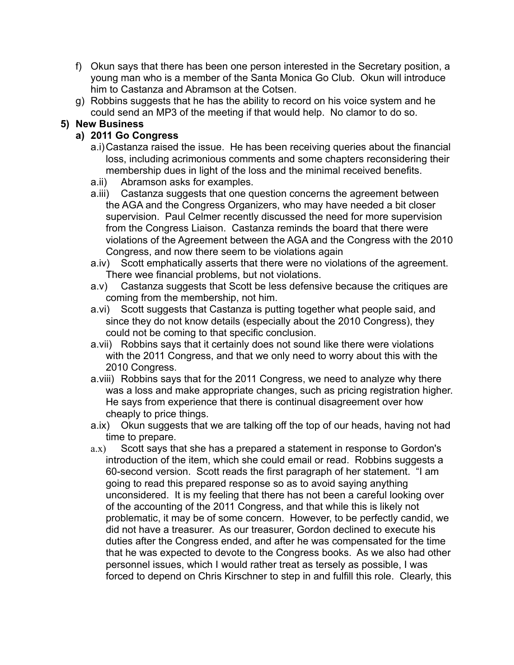- f) Okun says that there has been one person interested in the Secretary position, a young man who is a member of the Santa Monica Go Club. Okun will introduce him to Castanza and Abramson at the Cotsen.
- g) Robbins suggests that he has the ability to record on his voice system and he could send an MP3 of the meeting if that would help. No clamor to do so.

### **5) New Business**

### **a) 2011 Go Congress**

- a.i)Castanza raised the issue. He has been receiving queries about the financial loss, including acrimonious comments and some chapters reconsidering their membership dues in light of the loss and the minimal received benefits.
- a.ii) Abramson asks for examples.
- a.iii) Castanza suggests that one question concerns the agreement between the AGA and the Congress Organizers, who may have needed a bit closer supervision. Paul Celmer recently discussed the need for more supervision from the Congress Liaison. Castanza reminds the board that there were violations of the Agreement between the AGA and the Congress with the 2010 Congress, and now there seem to be violations again
- a.iv) Scott emphatically asserts that there were no violations of the agreement. There wee financial problems, but not violations.
- a.v) Castanza suggests that Scott be less defensive because the critiques are coming from the membership, not him.
- a.vi) Scott suggests that Castanza is putting together what people said, and since they do not know details (especially about the 2010 Congress), they could not be coming to that specific conclusion.
- a.vii) Robbins says that it certainly does not sound like there were violations with the 2011 Congress, and that we only need to worry about this with the 2010 Congress.
- a.viii) Robbins says that for the 2011 Congress, we need to analyze why there was a loss and make appropriate changes, such as pricing registration higher. He says from experience that there is continual disagreement over how cheaply to price things.
- a.ix) Okun suggests that we are talking off the top of our heads, having not had time to prepare.
- a.x) Scott says that she has a prepared a statement in response to Gordon's introduction of the item, which she could email or read. Robbins suggests a 60-second version. Scott reads the first paragraph of her statement. "I am going to read this prepared response so as to avoid saying anything unconsidered. It is my feeling that there has not been a careful looking over of the accounting of the 2011 Congress, and that while this is likely not problematic, it may be of some concern. However, to be perfectly candid, we did not have a treasurer. As our treasurer, Gordon declined to execute his duties after the Congress ended, and after he was compensated for the time that he was expected to devote to the Congress books. As we also had other personnel issues, which I would rather treat as tersely as possible, I was forced to depend on Chris Kirschner to step in and fulfill this role. Clearly, this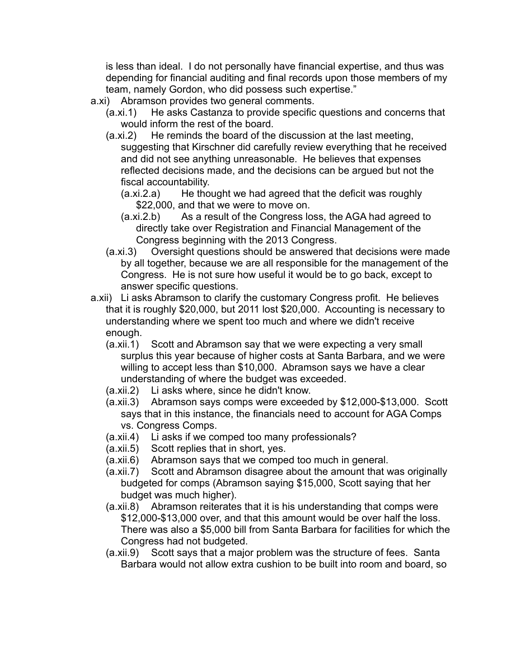is less than ideal. I do not personally have financial expertise, and thus was depending for financial auditing and final records upon those members of my team, namely Gordon, who did possess such expertise."

- a.xi) Abramson provides two general comments.
	- (a.xi.1) He asks Castanza to provide specific questions and concerns that would inform the rest of the board.
	- (a.xi.2) He reminds the board of the discussion at the last meeting, suggesting that Kirschner did carefully review everything that he received and did not see anything unreasonable. He believes that expenses reflected decisions made, and the decisions can be argued but not the fiscal accountability.
		- (a.xi.2.a) He thought we had agreed that the deficit was roughly \$22,000, and that we were to move on.
		- (a.xi.2.b) As a result of the Congress loss, the AGA had agreed to directly take over Registration and Financial Management of the Congress beginning with the 2013 Congress.
	- (a.xi.3) Oversight questions should be answered that decisions were made by all together, because we are all responsible for the management of the Congress. He is not sure how useful it would be to go back, except to answer specific questions.
- a.xii) Li asks Abramson to clarify the customary Congress profit. He believes that it is roughly \$20,000, but 2011 lost \$20,000. Accounting is necessary to understanding where we spent too much and where we didn't receive enough.
	- (a.xii.1) Scott and Abramson say that we were expecting a very small surplus this year because of higher costs at Santa Barbara, and we were willing to accept less than \$10,000. Abramson says we have a clear understanding of where the budget was exceeded.
	- (a.xii.2) Li asks where, since he didn't know.
	- (a.xii.3) Abramson says comps were exceeded by \$12,000-\$13,000. Scott says that in this instance, the financials need to account for AGA Comps vs. Congress Comps.
	- (a.xii.4) Li asks if we comped too many professionals?
	- (a.xii.5) Scott replies that in short, yes.
	- (a.xii.6) Abramson says that we comped too much in general.
	- (a.xii.7) Scott and Abramson disagree about the amount that was originally budgeted for comps (Abramson saying \$15,000, Scott saying that her budget was much higher).
	- (a.xii.8) Abramson reiterates that it is his understanding that comps were \$12,000-\$13,000 over, and that this amount would be over half the loss. There was also a \$5,000 bill from Santa Barbara for facilities for which the Congress had not budgeted.
	- (a.xii.9) Scott says that a major problem was the structure of fees. Santa Barbara would not allow extra cushion to be built into room and board, so